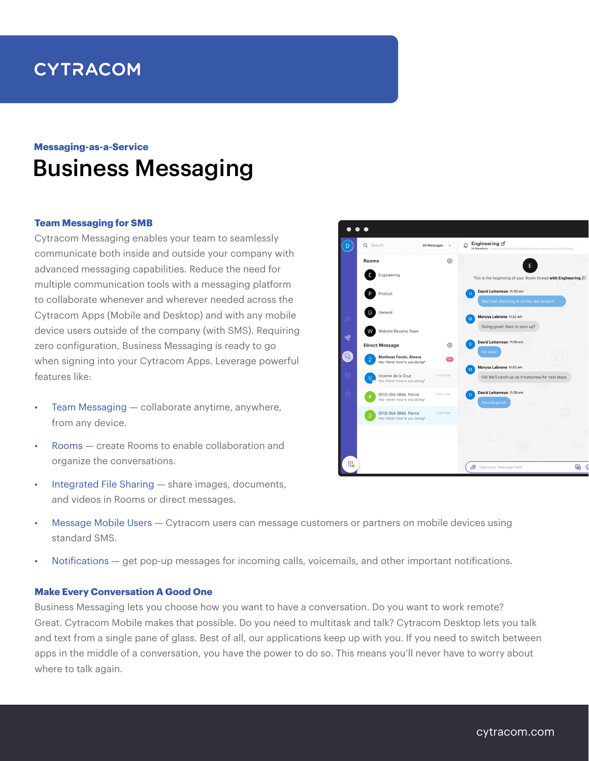# **CYTRACOM**

## Business Messaging **Messaging-as-a-Service**

#### **Team Messaging for SMB**

Cytracom Messaging enables your team to seamlessly communicate both inside and outside your company with advanced messaging capabilities. Reduce the need for multiple communication tools with a messaging platform to collaborate whenever and wherever needed across the Cytracom Apps (Mobile and Desktop) and with any mobile device users outside of the company (with SMS). Requiring zero configuration, Business Messaging is ready to go when signing into your Cytracom Apps. Leverage powerful features like:

- Team Messaging  $-$  collaborate anytime, anywhere, from any device.
- Rooms create Rooms to enable collaboration and organize the conversations.
- Integrated File Sharing share images, documents, and videos in Rooms or direct messages.
- Message Mobile Users Cytracom users can message customers or partners on mobile devices using standard SMS.
- Notifications get pop-up messages for incoming calls, voicemails, and other important notifications.

#### **Make Every Conversation A Good One**

Business Messaging lets you choose how you want to have a conversation. Do you want to work remote? Great. Cytracom Mobile makes that possible. Do you need to multitask and talk? Cytracom Desktop lets you talk and text from a single pane of glass. Best of all, our applications keep up with you. If you need to switch between apps in the middle of a conversation, you have the power to do so. This means you'll never have to worry about where to talk again.